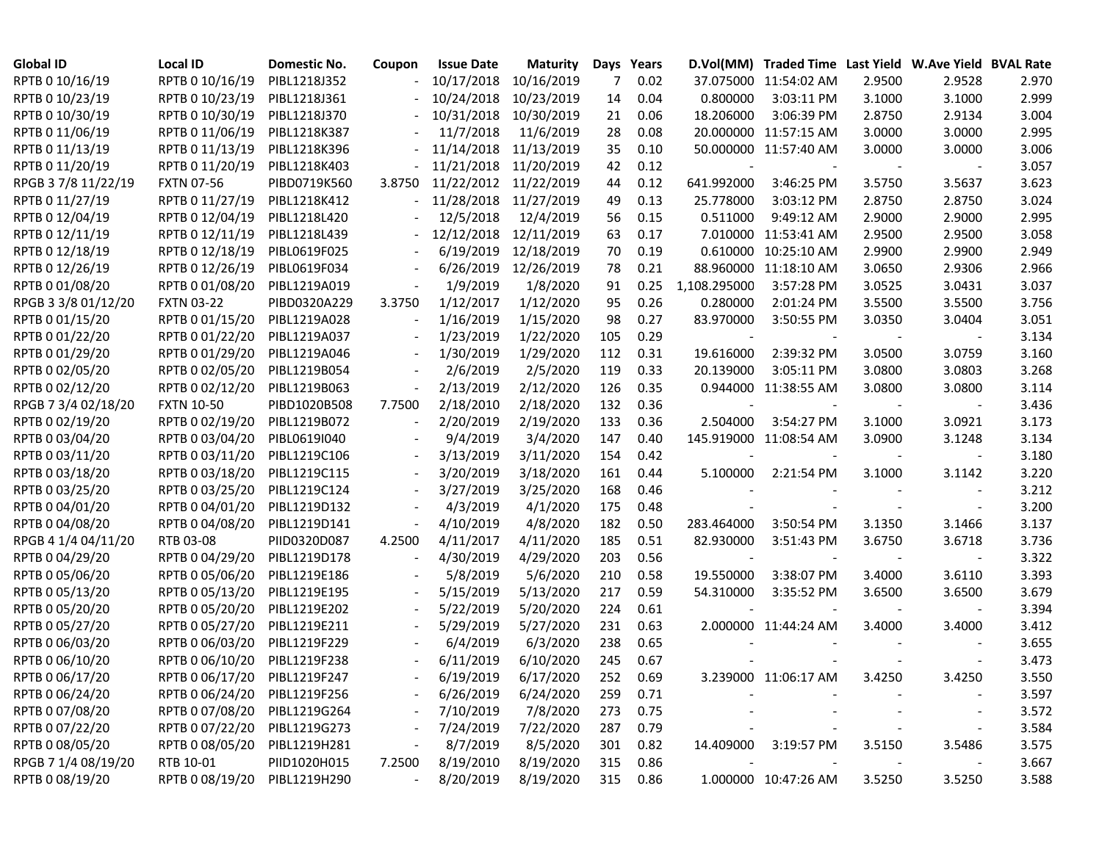| <b>Global ID</b>    | Local ID                     | <b>Domestic No.</b> | Coupon | <b>Issue Date</b> | <b>Maturity</b> |     | Days Years |                          | D.Vol(MM) Traded Time Last Yield W.Ave Yield BVAL Rate |        |                          |       |
|---------------------|------------------------------|---------------------|--------|-------------------|-----------------|-----|------------|--------------------------|--------------------------------------------------------|--------|--------------------------|-------|
| RPTB 0 10/16/19     | RPTB 0 10/16/19              | PIBL1218J352        |        | 10/17/2018        | 10/16/2019      | 7   | 0.02       |                          | 37.075000 11:54:02 AM                                  | 2.9500 | 2.9528                   | 2.970 |
| RPTB 0 10/23/19     | RPTB 0 10/23/19              | PIBL1218J361        |        | 10/24/2018        | 10/23/2019      | 14  | 0.04       | 0.800000                 | 3:03:11 PM                                             | 3.1000 | 3.1000                   | 2.999 |
| RPTB 0 10/30/19     | RPTB 0 10/30/19              | PIBL1218J370        |        | 10/31/2018        | 10/30/2019      | 21  | 0.06       | 18.206000                | 3:06:39 PM                                             | 2.8750 | 2.9134                   | 3.004 |
| RPTB 0 11/06/19     | RPTB 0 11/06/19              | PIBL1218K387        |        | 11/7/2018         | 11/6/2019       | 28  | 0.08       |                          | 20.000000 11:57:15 AM                                  | 3.0000 | 3.0000                   | 2.995 |
| RPTB 0 11/13/19     | RPTB 0 11/13/19              | PIBL1218K396        |        | 11/14/2018        | 11/13/2019      | 35  | 0.10       |                          | 50.000000 11:57:40 AM                                  | 3.0000 | 3.0000                   | 3.006 |
| RPTB 0 11/20/19     | RPTB 0 11/20/19              | PIBL1218K403        |        | 11/21/2018        | 11/20/2019      | 42  | 0.12       |                          |                                                        |        |                          | 3.057 |
| RPGB 37/8 11/22/19  | <b>FXTN 07-56</b>            | PIBD0719K560        | 3.8750 | 11/22/2012        | 11/22/2019      | 44  | 0.12       | 641.992000               | 3:46:25 PM                                             | 3.5750 | 3.5637                   | 3.623 |
| RPTB 0 11/27/19     | RPTB 0 11/27/19              | PIBL1218K412        |        | 11/28/2018        | 11/27/2019      | 49  | 0.13       | 25.778000                | 3:03:12 PM                                             | 2.8750 | 2.8750                   | 3.024 |
| RPTB 0 12/04/19     | RPTB 0 12/04/19              | PIBL1218L420        |        | 12/5/2018         | 12/4/2019       | 56  | 0.15       | 0.511000                 | 9:49:12 AM                                             | 2.9000 | 2.9000                   | 2.995 |
| RPTB 0 12/11/19     | RPTB 0 12/11/19              | PIBL1218L439        |        | 12/12/2018        | 12/11/2019      | 63  | 0.17       |                          | 7.010000 11:53:41 AM                                   | 2.9500 | 2.9500                   | 3.058 |
| RPTB 0 12/18/19     | RPTB 0 12/18/19              | PIBL0619F025        |        | 6/19/2019         | 12/18/2019      | 70  | 0.19       |                          | 0.610000 10:25:10 AM                                   | 2.9900 | 2.9900                   | 2.949 |
| RPTB 0 12/26/19     | RPTB 0 12/26/19              | PIBL0619F034        |        | 6/26/2019         | 12/26/2019      | 78  | 0.21       |                          | 88.960000 11:18:10 AM                                  | 3.0650 | 2.9306                   | 2.966 |
| RPTB 0 01/08/20     | RPTB 0 01/08/20              | PIBL1219A019        |        | 1/9/2019          | 1/8/2020        | 91  | 0.25       | 1,108.295000             | 3:57:28 PM                                             | 3.0525 | 3.0431                   | 3.037 |
| RPGB 3 3/8 01/12/20 | <b>FXTN 03-22</b>            | PIBD0320A229        | 3.3750 | 1/12/2017         | 1/12/2020       | 95  | 0.26       | 0.280000                 | 2:01:24 PM                                             | 3.5500 | 3.5500                   | 3.756 |
| RPTB 0 01/15/20     | RPTB 0 01/15/20              | PIBL1219A028        |        | 1/16/2019         | 1/15/2020       | 98  | 0.27       | 83.970000                | 3:50:55 PM                                             | 3.0350 | 3.0404                   | 3.051 |
| RPTB 0 01/22/20     | RPTB 0 01/22/20              | PIBL1219A037        |        | 1/23/2019         | 1/22/2020       | 105 | 0.29       |                          |                                                        |        |                          | 3.134 |
| RPTB 0 01/29/20     | RPTB 0 01/29/20              | PIBL1219A046        |        | 1/30/2019         | 1/29/2020       | 112 | 0.31       | 19.616000                | 2:39:32 PM                                             | 3.0500 | 3.0759                   | 3.160 |
| RPTB 0 02/05/20     | RPTB 0 02/05/20              | PIBL1219B054        |        | 2/6/2019          | 2/5/2020        | 119 | 0.33       | 20.139000                | 3:05:11 PM                                             | 3.0800 | 3.0803                   | 3.268 |
| RPTB 0 02/12/20     | RPTB 0 02/12/20              | PIBL1219B063        |        | 2/13/2019         | 2/12/2020       | 126 | 0.35       |                          | 0.944000 11:38:55 AM                                   | 3.0800 | 3.0800                   | 3.114 |
| RPGB 7 3/4 02/18/20 | <b>FXTN 10-50</b>            | PIBD1020B508        | 7.7500 | 2/18/2010         | 2/18/2020       | 132 | 0.36       | $\overline{\phantom{a}}$ |                                                        |        |                          | 3.436 |
| RPTB 0 02/19/20     | RPTB 0 02/19/20              | PIBL1219B072        |        | 2/20/2019         | 2/19/2020       | 133 | 0.36       | 2.504000                 | 3:54:27 PM                                             | 3.1000 | 3.0921                   | 3.173 |
| RPTB 0 03/04/20     | RPTB 0 03/04/20              | PIBL0619I040        |        | 9/4/2019          | 3/4/2020        | 147 | 0.40       |                          | 145.919000 11:08:54 AM                                 | 3.0900 | 3.1248                   | 3.134 |
| RPTB 0 03/11/20     | RPTB 0 03/11/20              | PIBL1219C106        |        | 3/13/2019         | 3/11/2020       | 154 | 0.42       |                          |                                                        |        |                          | 3.180 |
| RPTB 0 03/18/20     | RPTB 0 03/18/20              | PIBL1219C115        |        | 3/20/2019         | 3/18/2020       | 161 | 0.44       | 5.100000                 | 2:21:54 PM                                             | 3.1000 | 3.1142                   | 3.220 |
| RPTB 0 03/25/20     | RPTB 0 03/25/20              | PIBL1219C124        |        | 3/27/2019         | 3/25/2020       | 168 | 0.46       |                          |                                                        |        |                          | 3.212 |
| RPTB 0 04/01/20     | RPTB 0 04/01/20              | PIBL1219D132        |        | 4/3/2019          | 4/1/2020        | 175 | 0.48       |                          |                                                        |        | $\overline{\phantom{a}}$ | 3.200 |
| RPTB 0 04/08/20     | RPTB 0 04/08/20              | PIBL1219D141        |        | 4/10/2019         | 4/8/2020        | 182 | 0.50       | 283.464000               | 3:50:54 PM                                             | 3.1350 | 3.1466                   | 3.137 |
| RPGB 4 1/4 04/11/20 | RTB 03-08                    | PIID0320D087        | 4.2500 | 4/11/2017         | 4/11/2020       | 185 | 0.51       | 82.930000                | 3:51:43 PM                                             | 3.6750 | 3.6718                   | 3.736 |
| RPTB 0 04/29/20     | RPTB 0 04/29/20              | PIBL1219D178        |        | 4/30/2019         | 4/29/2020       | 203 | 0.56       |                          |                                                        |        |                          | 3.322 |
| RPTB 0 05/06/20     | RPTB 0 05/06/20              | PIBL1219E186        |        | 5/8/2019          | 5/6/2020        | 210 | 0.58       | 19.550000                | 3:38:07 PM                                             | 3.4000 | 3.6110                   | 3.393 |
| RPTB 0 05/13/20     | RPTB 0 05/13/20              | PIBL1219E195        |        | 5/15/2019         | 5/13/2020       | 217 | 0.59       | 54.310000                | 3:35:52 PM                                             | 3.6500 | 3.6500                   | 3.679 |
| RPTB 0 05/20/20     | RPTB 0 05/20/20              | PIBL1219E202        |        | 5/22/2019         | 5/20/2020       | 224 | 0.61       |                          |                                                        |        |                          | 3.394 |
| RPTB 0 05/27/20     | RPTB 0 05/27/20              | PIBL1219E211        |        | 5/29/2019         | 5/27/2020       | 231 | 0.63       |                          | 2.000000 11:44:24 AM                                   | 3.4000 | 3.4000                   | 3.412 |
| RPTB 0 06/03/20     | RPTB 0 06/03/20              | PIBL1219F229        |        | 6/4/2019          | 6/3/2020        | 238 | 0.65       |                          |                                                        |        |                          | 3.655 |
| RPTB 0 06/10/20     | RPTB 0 06/10/20              | PIBL1219F238        |        | 6/11/2019         | 6/10/2020       | 245 | 0.67       |                          |                                                        |        |                          | 3.473 |
| RPTB 0 06/17/20     | RPTB 0 06/17/20              | PIBL1219F247        |        | 6/19/2019         | 6/17/2020       | 252 | 0.69       |                          | 3.239000 11:06:17 AM                                   | 3.4250 | 3.4250                   | 3.550 |
| RPTB 0 06/24/20     | RPTB 0 06/24/20 PIBL1219F256 |                     |        | 6/26/2019         | 6/24/2020       | 259 | 0.71       |                          |                                                        |        |                          | 3.597 |
| RPTB 0 07/08/20     | RPTB 0 07/08/20              | PIBL1219G264        |        | 7/10/2019         | 7/8/2020        | 273 | 0.75       |                          |                                                        |        |                          | 3.572 |
| RPTB 0 07/22/20     | RPTB 0 07/22/20              | PIBL1219G273        |        | 7/24/2019         | 7/22/2020       | 287 | 0.79       |                          |                                                        |        |                          | 3.584 |
| RPTB 0 08/05/20     | RPTB 0 08/05/20              | PIBL1219H281        |        | 8/7/2019          | 8/5/2020        | 301 | 0.82       |                          | 14.409000 3:19:57 PM                                   | 3.5150 | 3.5486                   | 3.575 |
| RPGB 7 1/4 08/19/20 | RTB 10-01                    | PIID1020H015        | 7.2500 | 8/19/2010         | 8/19/2020       | 315 | 0.86       |                          |                                                        |        |                          | 3.667 |
| RPTB 0 08/19/20     | RPTB 0 08/19/20              | PIBL1219H290        |        | 8/20/2019         | 8/19/2020       |     | 315 0.86   |                          | 1.000000 10:47:26 AM                                   | 3.5250 | 3.5250                   | 3.588 |
|                     |                              |                     |        |                   |                 |     |            |                          |                                                        |        |                          |       |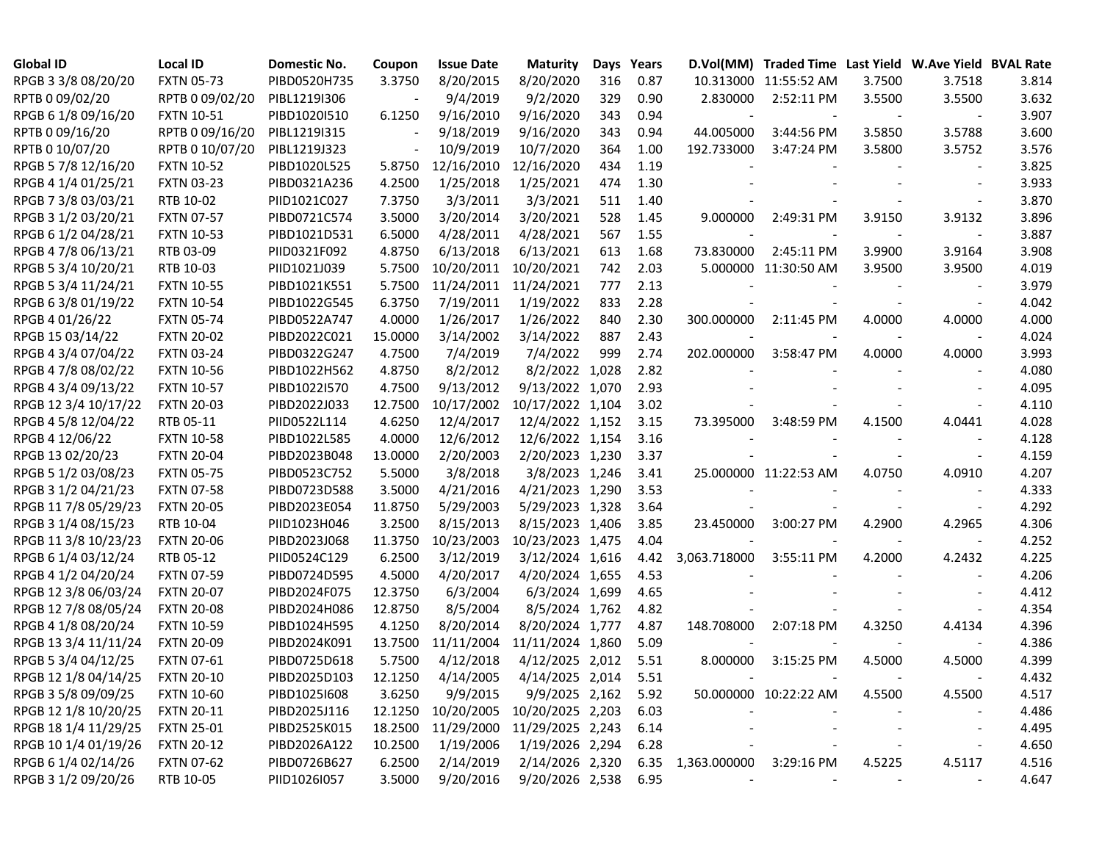| <b>Global ID</b>     | <b>Local ID</b>   | Domestic No. | Coupon  | <b>Issue Date</b>  | <b>Maturity</b>  |     | Days Years |                   | D.Vol(MM) Traded Time Last Yield W.Ave Yield BVAL Rate |        |                          |       |
|----------------------|-------------------|--------------|---------|--------------------|------------------|-----|------------|-------------------|--------------------------------------------------------|--------|--------------------------|-------|
| RPGB 3 3/8 08/20/20  | <b>FXTN 05-73</b> | PIBD0520H735 | 3.3750  | 8/20/2015          | 8/20/2020        | 316 | 0.87       |                   | 10.313000 11:55:52 AM                                  | 3.7500 | 3.7518                   | 3.814 |
| RPTB 0 09/02/20      | RPTB 0 09/02/20   | PIBL1219I306 |         | 9/4/2019           | 9/2/2020         | 329 | 0.90       | 2.830000          | 2:52:11 PM                                             | 3.5500 | 3.5500                   | 3.632 |
| RPGB 6 1/8 09/16/20  | <b>FXTN 10-51</b> | PIBD1020I510 | 6.1250  | 9/16/2010          | 9/16/2020        | 343 | 0.94       |                   |                                                        |        |                          | 3.907 |
| RPTB 0 09/16/20      | RPTB 0 09/16/20   | PIBL1219I315 |         | 9/18/2019          | 9/16/2020        | 343 | 0.94       | 44.005000         | 3:44:56 PM                                             | 3.5850 | 3.5788                   | 3.600 |
| RPTB 0 10/07/20      | RPTB 0 10/07/20   | PIBL1219J323 |         | 10/9/2019          | 10/7/2020        | 364 | 1.00       | 192.733000        | 3:47:24 PM                                             | 3.5800 | 3.5752                   | 3.576 |
| RPGB 5 7/8 12/16/20  | <b>FXTN 10-52</b> | PIBD1020L525 | 5.8750  | 12/16/2010         | 12/16/2020       | 434 | 1.19       |                   |                                                        |        |                          | 3.825 |
| RPGB 4 1/4 01/25/21  | <b>FXTN 03-23</b> | PIBD0321A236 | 4.2500  | 1/25/2018          | 1/25/2021        | 474 | 1.30       |                   |                                                        |        |                          | 3.933 |
| RPGB 7 3/8 03/03/21  | RTB 10-02         | PIID1021C027 | 7.3750  | 3/3/2011           | 3/3/2021         | 511 | 1.40       |                   |                                                        |        |                          | 3.870 |
| RPGB 3 1/2 03/20/21  | <b>FXTN 07-57</b> | PIBD0721C574 | 3.5000  | 3/20/2014          | 3/20/2021        | 528 | 1.45       | 9.000000          | 2:49:31 PM                                             | 3.9150 | 3.9132                   | 3.896 |
| RPGB 6 1/2 04/28/21  | <b>FXTN 10-53</b> | PIBD1021D531 | 6.5000  | 4/28/2011          | 4/28/2021        | 567 | 1.55       |                   |                                                        |        | $\overline{\phantom{a}}$ | 3.887 |
| RPGB 4 7/8 06/13/21  | RTB 03-09         | PIID0321F092 | 4.8750  | 6/13/2018          | 6/13/2021        | 613 | 1.68       | 73.830000         | 2:45:11 PM                                             | 3.9900 | 3.9164                   | 3.908 |
| RPGB 5 3/4 10/20/21  | RTB 10-03         | PIID1021J039 | 5.7500  | 10/20/2011         | 10/20/2021       | 742 | 2.03       |                   | 5.000000 11:30:50 AM                                   | 3.9500 | 3.9500                   | 4.019 |
| RPGB 5 3/4 11/24/21  | <b>FXTN 10-55</b> | PIBD1021K551 | 5.7500  | 11/24/2011         | 11/24/2021       | 777 | 2.13       |                   |                                                        |        |                          | 3.979 |
| RPGB 6 3/8 01/19/22  | <b>FXTN 10-54</b> | PIBD1022G545 | 6.3750  | 7/19/2011          | 1/19/2022        | 833 | 2.28       |                   |                                                        |        |                          | 4.042 |
| RPGB 4 01/26/22      | <b>FXTN 05-74</b> | PIBD0522A747 | 4.0000  | 1/26/2017          | 1/26/2022        | 840 | 2.30       | 300.000000        | 2:11:45 PM                                             | 4.0000 | 4.0000                   | 4.000 |
| RPGB 15 03/14/22     | <b>FXTN 20-02</b> | PIBD2022C021 | 15.0000 | 3/14/2002          | 3/14/2022        | 887 | 2.43       |                   |                                                        |        |                          | 4.024 |
| RPGB 4 3/4 07/04/22  | <b>FXTN 03-24</b> | PIBD0322G247 | 4.7500  | 7/4/2019           | 7/4/2022         | 999 | 2.74       | 202.000000        | 3:58:47 PM                                             | 4.0000 | 4.0000                   | 3.993 |
| RPGB 4 7/8 08/02/22  | <b>FXTN 10-56</b> | PIBD1022H562 | 4.8750  | 8/2/2012           | 8/2/2022 1,028   |     | 2.82       |                   |                                                        |        |                          | 4.080 |
| RPGB 4 3/4 09/13/22  | <b>FXTN 10-57</b> | PIBD1022I570 | 4.7500  | 9/13/2012          | 9/13/2022 1,070  |     | 2.93       |                   |                                                        |        |                          | 4.095 |
| RPGB 12 3/4 10/17/22 | <b>FXTN 20-03</b> | PIBD2022J033 | 12.7500 | 10/17/2002         | 10/17/2022 1,104 |     | 3.02       |                   |                                                        |        |                          | 4.110 |
| RPGB 4 5/8 12/04/22  | RTB 05-11         | PIID0522L114 | 4.6250  | 12/4/2017          | 12/4/2022 1,152  |     | 3.15       | 73.395000         | 3:48:59 PM                                             | 4.1500 | 4.0441                   | 4.028 |
| RPGB 4 12/06/22      | <b>FXTN 10-58</b> | PIBD1022L585 | 4.0000  | 12/6/2012          | 12/6/2022 1,154  |     | 3.16       |                   |                                                        |        |                          | 4.128 |
| RPGB 13 02/20/23     | <b>FXTN 20-04</b> | PIBD2023B048 | 13.0000 | 2/20/2003          | 2/20/2023 1,230  |     | 3.37       |                   |                                                        |        |                          | 4.159 |
| RPGB 5 1/2 03/08/23  | <b>FXTN 05-75</b> | PIBD0523C752 | 5.5000  | 3/8/2018           | 3/8/2023 1,246   |     | 3.41       |                   | 25.000000 11:22:53 AM                                  | 4.0750 | 4.0910                   | 4.207 |
| RPGB 3 1/2 04/21/23  | <b>FXTN 07-58</b> | PIBD0723D588 | 3.5000  | 4/21/2016          | 4/21/2023 1,290  |     | 3.53       |                   |                                                        |        |                          | 4.333 |
| RPGB 11 7/8 05/29/23 | <b>FXTN 20-05</b> | PIBD2023E054 | 11.8750 | 5/29/2003          | 5/29/2023 1,328  |     | 3.64       |                   |                                                        |        |                          | 4.292 |
| RPGB 3 1/4 08/15/23  | RTB 10-04         | PIID1023H046 | 3.2500  | 8/15/2013          | 8/15/2023 1,406  |     | 3.85       | 23.450000         | 3:00:27 PM                                             | 4.2900 | 4.2965                   | 4.306 |
| RPGB 11 3/8 10/23/23 | <b>FXTN 20-06</b> | PIBD2023J068 | 11.3750 | 10/23/2003         | 10/23/2023 1,475 |     | 4.04       |                   |                                                        |        |                          | 4.252 |
| RPGB 6 1/4 03/12/24  | RTB 05-12         | PIID0524C129 | 6.2500  | 3/12/2019          | 3/12/2024 1,616  |     | 4.42       | 3,063.718000      | 3:55:11 PM                                             | 4.2000 | 4.2432                   | 4.225 |
| RPGB 4 1/2 04/20/24  | <b>FXTN 07-59</b> | PIBD0724D595 | 4.5000  | 4/20/2017          | 4/20/2024 1,655  |     | 4.53       |                   |                                                        |        |                          | 4.206 |
| RPGB 12 3/8 06/03/24 | <b>FXTN 20-07</b> | PIBD2024F075 | 12.3750 | 6/3/2004           | 6/3/2024 1,699   |     | 4.65       |                   |                                                        |        |                          | 4.412 |
| RPGB 12 7/8 08/05/24 | <b>FXTN 20-08</b> | PIBD2024H086 | 12.8750 | 8/5/2004           | 8/5/2024 1,762   |     | 4.82       |                   |                                                        |        |                          | 4.354 |
| RPGB 4 1/8 08/20/24  | <b>FXTN 10-59</b> | PIBD1024H595 | 4.1250  | 8/20/2014          | 8/20/2024 1,777  |     | 4.87       | 148.708000        | 2:07:18 PM                                             | 4.3250 | 4.4134                   | 4.396 |
| RPGB 13 3/4 11/11/24 | <b>FXTN 20-09</b> | PIBD2024K091 | 13.7500 | 11/11/2004         | 11/11/2024 1,860 |     | 5.09       |                   |                                                        |        | $\overline{\phantom{a}}$ | 4.386 |
| RPGB 5 3/4 04/12/25  | <b>FXTN 07-61</b> | PIBD0725D618 | 5.7500  | 4/12/2018          | 4/12/2025 2,012  |     | 5.51       | 8.000000          | 3:15:25 PM                                             | 4.5000 | 4.5000                   | 4.399 |
| RPGB 12 1/8 04/14/25 | <b>FXTN 20-10</b> | PIBD2025D103 | 12.1250 | 4/14/2005          | 4/14/2025 2,014  |     | 5.51       |                   |                                                        |        |                          | 4.432 |
| RPGB 3 5/8 09/09/25  | <b>FXTN 10-60</b> | PIBD10251608 | 3.6250  | 9/9/2015           | 9/9/2025 2,162   |     | 5.92       |                   | 50.000000 10:22:22 AM                                  | 4.5500 | 4.5500                   | 4.517 |
| RPGB 12 1/8 10/20/25 | <b>FXTN 20-11</b> | PIBD2025J116 |         | 12.1250 10/20/2005 | 10/20/2025 2,203 |     | 6.03       |                   |                                                        |        |                          | 4.486 |
| RPGB 18 1/4 11/29/25 | <b>FXTN 25-01</b> | PIBD2525K015 |         | 18.2500 11/29/2000 | 11/29/2025 2,243 |     | 6.14       |                   |                                                        |        | $\overline{\phantom{a}}$ | 4.495 |
| RPGB 10 1/4 01/19/26 | <b>FXTN 20-12</b> | PIBD2026A122 | 10.2500 | 1/19/2006          | 1/19/2026 2,294  |     | 6.28       |                   |                                                        |        | $\overline{\phantom{a}}$ | 4.650 |
| RPGB 6 1/4 02/14/26  | <b>FXTN 07-62</b> | PIBD0726B627 | 6.2500  | 2/14/2019          | 2/14/2026 2,320  |     |            | 6.35 1,363.000000 | 3:29:16 PM                                             | 4.5225 | 4.5117                   | 4.516 |
| RPGB 3 1/2 09/20/26  | RTB 10-05         | PIID1026I057 | 3.5000  | 9/20/2016          | 9/20/2026 2,538  |     | 6.95       |                   |                                                        |        | $\overline{\phantom{a}}$ | 4.647 |